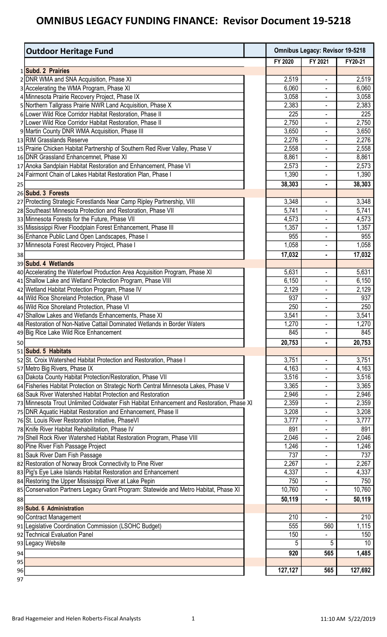|    | <b>Outdoor Heritage Fund</b>                                                                                                                      | <b>Omnibus Legacy: Revisor 19-5218</b> |                          |                |
|----|---------------------------------------------------------------------------------------------------------------------------------------------------|----------------------------------------|--------------------------|----------------|
|    |                                                                                                                                                   | FY 2020                                | FY 2021                  | FY20-21        |
|    | 1 Subd. 2 Prairies                                                                                                                                |                                        |                          |                |
|    | 2 DNR WMA and SNA Acquisition, Phase XI                                                                                                           | 2,519                                  | $\overline{\phantom{a}}$ | 2,519          |
|    | 3 Accelerating the WMA Program, Phase XI                                                                                                          | 6,060                                  | $\overline{\phantom{a}}$ | 6,060          |
|    | 4 Minnesota Prairie Recovery Project, Phase IX                                                                                                    | 3,058                                  |                          | 3,058          |
|    | 5 Northern Tallgrass Prairie NWR Land Acquisition, Phase X                                                                                        | 2,383                                  | L,                       | 2,383          |
|    | 6 Lower Wild Rice Corridor Habitat Restoration, Phase II                                                                                          | 225                                    | ٠                        | 225            |
|    | 7 Lower Wild Rice Corridor Habitat Restoration, Phase II                                                                                          | 2,750                                  | $\overline{\phantom{a}}$ | 2,750          |
|    | 9 Martin County DNR WMA Acquisition, Phase III                                                                                                    | 3,650                                  |                          | 3,650          |
|    | 13 RIM Grasslands Reserve                                                                                                                         | 2,276                                  |                          | 2,276          |
|    | 15 Prairie Chicken Habitat Partnership of Southern Red River Valley, Phase V                                                                      | 2,558                                  | ٠                        | 2,558          |
|    | 16 DNR Grassland Enhancemnet, Phase XI                                                                                                            | 8,861                                  |                          | 8,861          |
|    | 17 Anoka Sandplain Habitat Restoration and Enhancement, Phase VI                                                                                  | 2,573                                  | $\overline{\phantom{a}}$ | 2,573          |
|    | 24 Fairmont Chain of Lakes Habitat Restoration Plan, Phase I                                                                                      | 1,390                                  |                          | 1,390          |
| 25 |                                                                                                                                                   | 38,303                                 | ٠                        | 38,303         |
|    | 26 Subd. 3 Forests                                                                                                                                |                                        |                          |                |
|    | 27 Protecting Strategic Forestlands Near Camp Ripley Partnership, VIII                                                                            | 3,348                                  | $\overline{\phantom{a}}$ | 3,348          |
|    | 28 Southeast Minnesota Protection and Restoration, Phase VII                                                                                      | 5,741                                  |                          | 5,741          |
|    | 33 Minnesota Forests for the Future, Phase VII                                                                                                    | 4,573                                  | $\overline{\phantom{a}}$ | 4,573          |
|    | 35 Mississippi River Floodplain Forest Enhancement, Phase III                                                                                     | 1,357                                  | $\overline{\phantom{a}}$ | 1,357          |
|    | 36 Enhance Public Land Open Landscapes, Phase I                                                                                                   | 955                                    | $\blacksquare$           | 955            |
|    | 37 Minnesota Forest Recovery Project, Phase I                                                                                                     | 1,058                                  | $\blacksquare$           | 1,058          |
| 38 |                                                                                                                                                   | 17,032                                 | ٠                        | 17,032         |
|    | 39 Subd. 4 Wetlands                                                                                                                               |                                        |                          |                |
|    | 40 Accelerating the Waterfowl Production Area Acquisition Program, Phase XI                                                                       | 5,631                                  |                          | 5,631          |
|    | 41 Shallow Lake and Wetland Protection Program, Phase VIII                                                                                        | 6,150                                  | $\overline{\phantom{a}}$ | 6,150          |
|    | 42 Wetland Habitat Protection Program, Phase IV                                                                                                   | 2,129                                  | $\overline{\phantom{a}}$ | 2,129          |
|    | 44 Wild Rice Shoreland Protection, Phase VI                                                                                                       | 937                                    | ٠                        | 937            |
|    | 46 Wild Rice Shoreland Protection, Phase VI                                                                                                       | 250                                    |                          | 250            |
|    | 47 Shallow Lakes and Wetlands Enhancements, Phase XI                                                                                              | 3,541                                  | ٠                        | 3,541          |
|    | 48 Restoration of Non-Native Cattail Dominated Wetlands in Border Waters                                                                          | 1,270                                  |                          | 1,270          |
|    | 49 Big Rice Lake Wild Rice Enhancement                                                                                                            | 845                                    |                          | 845            |
| 50 |                                                                                                                                                   | 20,753                                 |                          | 20,753         |
|    | 51 Subd. 5 Habitats                                                                                                                               |                                        |                          |                |
|    | 52 St. Croix Watershed Habitat Protection and Restoration, Phase I                                                                                | 3,751                                  |                          | 3,751          |
|    | 57 Metro Big Rivers, Phase IX                                                                                                                     | 4,163                                  | $\overline{\phantom{a}}$ | 4,163          |
|    | 63 Dakota County Habitat Protection/Restoration, Phase VII<br>64 Fisheries Habitat Protection on Strategic North Central Minnesota Lakes, Phase V | 3,516<br>3,365                         |                          | 3,516<br>3,365 |
|    | 68 Sauk River Watershed Habitat Protection and Restoration                                                                                        | 2,946                                  |                          | 2,946          |
|    | 73 Minnesota Trout Unlimited Coldwater Fish Habitat Enhancement and Restoration, Phase XI                                                         | 2,359                                  | ÷                        | 2,359          |
|    | 75 DNR Aquatic Habitat Restoration and Enhancement, Phase II                                                                                      | 3,208                                  | ٠                        | 3,208          |
|    | 76 St. Louis River Restoration Initiative, PhaseVI                                                                                                | 3,777                                  | ٠                        | 3,777          |
|    | 78 Knife River Habitat Rehabilitation, Phase IV                                                                                                   | 891                                    | ٠                        | 891            |
|    | 79 Shell Rock River Watershed Habitat Restoration Program, Phase VIII                                                                             | 2,046                                  |                          | 2,046          |
|    | 80 Pine River Fish Passage Project                                                                                                                | 1,246                                  | $\overline{\phantom{a}}$ | 1,246          |
|    | 81 Sauk River Dam Fish Passage                                                                                                                    | 737                                    |                          | 737            |
|    | 82 Restoration of Norway Brook Connectivity to Pine River                                                                                         | 2,267                                  | $\overline{\phantom{a}}$ | 2,267          |
|    | 83 Pig's Eye Lake Islands Habitat Restoration and Enhancement                                                                                     | 4,337                                  |                          | 4,337          |
|    | 84 Restoring the Upper Mississippi River at Lake Pepin                                                                                            | 750                                    |                          | 750            |
|    | 85 Conservation Partners Legacy Grant Program: Statewide and Metro Habitat, Phase XI                                                              | 10,760                                 | ٠                        | 10,760         |
| 88 |                                                                                                                                                   | 50,119                                 | ٠                        | 50,119         |
|    | 89 Subd. 6 Administration                                                                                                                         |                                        |                          |                |
|    | 90 Contract Management                                                                                                                            | 210                                    |                          | 210            |
|    | 91 Legislative Coordination Commission (LSOHC Budget)                                                                                             | 555                                    | 560                      | 1,115          |
|    | 92 Technical Evaluation Panel                                                                                                                     | 150                                    |                          | 150            |
|    | 93 Legacy Website                                                                                                                                 | 5                                      | 5                        | 10             |
| 94 |                                                                                                                                                   | 920                                    | 565                      | 1,485          |
| 95 |                                                                                                                                                   |                                        |                          |                |
| 96 |                                                                                                                                                   | 127,127                                | 565                      | 127,692        |
| 97 |                                                                                                                                                   |                                        |                          |                |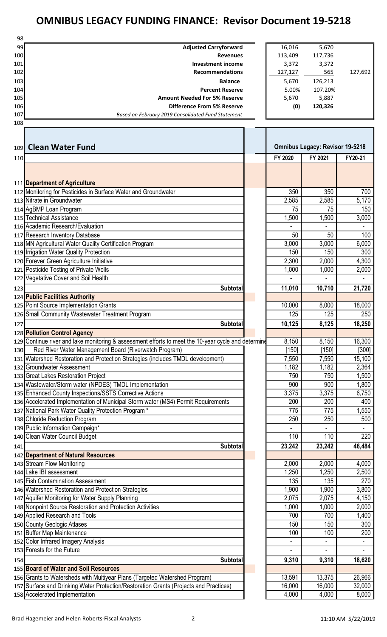| 98  |                                                                                                     |                          |                                        |                          |
|-----|-----------------------------------------------------------------------------------------------------|--------------------------|----------------------------------------|--------------------------|
| 99  | <b>Adjusted Carryforward</b>                                                                        | 16,016                   | 5,670                                  |                          |
| 100 | <b>Revenues</b>                                                                                     | 113,409                  | 117,736                                |                          |
| 101 | <b>Investment income</b>                                                                            | 3,372                    | 3,372                                  |                          |
| 102 | Recommendations                                                                                     | 127,127                  | 565                                    | 127,692                  |
| 103 | <b>Balance</b>                                                                                      | 5,670                    | 126,213                                |                          |
| 104 | <b>Percent Reserve</b>                                                                              | 5.00%                    | 107.20%                                |                          |
|     | <b>Amount Needed For 5% Reserve</b>                                                                 |                          |                                        |                          |
| 105 |                                                                                                     | 5,670                    | 5,887                                  |                          |
| 106 | <b>Difference From 5% Reserve</b>                                                                   | (0)                      | 120,326                                |                          |
| 107 | Based on February 2019 Consolidated Fund Statement                                                  |                          |                                        |                          |
| 108 |                                                                                                     |                          |                                        |                          |
|     |                                                                                                     |                          |                                        |                          |
|     |                                                                                                     |                          |                                        |                          |
| 109 | <b>Clean Water Fund</b>                                                                             |                          | <b>Omnibus Legacy: Revisor 19-5218</b> |                          |
| 110 |                                                                                                     | FY 2020                  | FY 2021                                | FY20-21                  |
|     |                                                                                                     |                          |                                        |                          |
|     |                                                                                                     |                          |                                        |                          |
|     |                                                                                                     |                          |                                        |                          |
|     | 111 Department of Agriculture                                                                       |                          |                                        |                          |
|     | 112 Monitoring for Pesticides in Surface Water and Groundwater                                      | 350                      | 350                                    | 700                      |
|     | 113 Nitrate in Groundwater                                                                          | 2,585                    | 2,585                                  | 5,170                    |
|     | 114 AgBMP Loan Program                                                                              | 75                       | 75                                     | 150                      |
|     | 115 Technical Assistance                                                                            | 1,500                    | 1,500                                  | 3,000                    |
|     | 116 Academic Research/Evaluation                                                                    |                          |                                        | $\overline{\phantom{a}}$ |
|     | 117 Research Inventory Database                                                                     | 50                       | 50                                     | 100                      |
|     | 118 MN Agricultural Water Quality Certification Program                                             | 3,000                    | 3,000                                  | 6,000                    |
|     | 119 Irrigation Water Quality Protection                                                             | 150                      | 150                                    | 300                      |
|     |                                                                                                     | 2,300                    |                                        |                          |
|     | 120 Forever Green Agriculture Initiative                                                            |                          | 2,000                                  | 4,300                    |
|     | 121 Pesticide Testing of Private Wells                                                              | 1,000                    | 1,000                                  | 2,000                    |
|     | 122 Vegetative Cover and Soil Health                                                                |                          |                                        |                          |
| 123 | <b>Subtotal</b>                                                                                     | 11,010                   | 10,710                                 | 21,720                   |
|     | 124 Public Facilities Authority                                                                     |                          |                                        |                          |
|     | 125 Point Source Implementation Grants                                                              | 10,000                   | 8,000                                  | 18,000                   |
|     | 126 Small Community Wastewater Treatment Program                                                    | 125                      | 125                                    | 250                      |
|     |                                                                                                     |                          |                                        |                          |
| 127 | <b>Subtotal</b>                                                                                     | 10,125                   | 8,125                                  | 18,250                   |
|     | 128 Pollution Control Agency                                                                        |                          |                                        |                          |
|     | 129 Continue river and lake monitoring & assessment efforts to meet the 10-year cycle and determine | 8,150                    | 8,150                                  | 16,300                   |
| 130 | Red River Water Management Board (Riverwatch Program)                                               | [150]                    | [150]                                  | $[300]$                  |
|     | 131   Watershed Restoration and Protection Strategies (includes TMDL development)                   | 7,550                    | 7,550                                  | 15,100                   |
|     | 132 Groundwater Assessment                                                                          | 1,182                    | 1,182                                  | 2,364                    |
|     | 133 Great Lakes Restoration Project                                                                 | 750                      | 750                                    | 1,500                    |
|     |                                                                                                     |                          |                                        |                          |
|     | 134 Wastewater/Storm water (NPDES) TMDL Implementation                                              | 900                      | 900                                    | 1,800                    |
|     | 135 Enhanced County Inspections/SSTS Corrective Actions                                             | 3,375                    | 3,375                                  | 6,750                    |
|     | 136 Accelerated Implementation of Municipal Storm water (MS4) Permit Requirements                   | 200                      | 200                                    | 400                      |
|     | 137 National Park Water Quality Protection Program *                                                | 775                      | 775                                    | 1,550                    |
|     | 138 Chloride Reduction Program                                                                      | 250                      | 250                                    | 500                      |
|     | 139 Public Information Campaign*                                                                    |                          |                                        | $\overline{\phantom{a}}$ |
|     | 140 Clean Water Council Budget                                                                      | 110                      | 110                                    | 220                      |
|     |                                                                                                     |                          |                                        |                          |
| 141 | <b>Subtotal</b>                                                                                     | 23,242                   | 23,242                                 | 46,484                   |
|     | 142 Department of Natural Resources                                                                 |                          |                                        |                          |
|     | 143 Stream Flow Monitoring                                                                          | 2,000                    | 2,000                                  | 4,000                    |
|     | 144 Lake IBI assessment                                                                             | 1,250                    | 1,250                                  | 2,500                    |
|     | 145 Fish Contamination Assessment                                                                   | 135                      | 135                                    | 270                      |
|     | 146 Watershed Restoration and Protection Strategies                                                 | 1,900                    | 1,900                                  | 3,800                    |
|     | 147 Aquifer Monitoring for Water Supply Planning                                                    | 2,075                    | 2,075                                  | 4,150                    |
|     | 148 Nonpoint Source Restoration and Protection Activities                                           | 1,000                    | 1,000                                  | 2,000                    |
|     |                                                                                                     |                          |                                        |                          |
|     | 149 Applied Research and Tools                                                                      | 700                      | 700                                    | 1,400                    |
|     | 150 County Geologic Atlases                                                                         | 150                      | 150                                    | 300                      |
|     | 151 Buffer Map Maintenance                                                                          | 100                      | 100                                    | 200                      |
|     | 152 Color Infrared Imagery Analysis                                                                 | $\overline{\phantom{a}}$ | $\overline{\phantom{a}}$               | $\blacksquare$           |
|     | 153 Forests for the Future                                                                          |                          | ÷.                                     | $\overline{\phantom{a}}$ |
| 154 | <b>Subtotal</b>                                                                                     | 9,310                    | 9,310                                  | 18,620                   |
|     | 155 Board of Water and Soil Resources                                                               |                          |                                        |                          |
|     |                                                                                                     | 13,591                   | 13,375                                 | 26,966                   |
|     | 156 Grants to Watersheds with Multiyear Plans (Targeted Watershed Program)                          |                          |                                        |                          |
|     | 157 Surface and Drinking Water Protection/Restoration Grants (Projects and Practices)               | 16,000                   | 16,000                                 | 32,000                   |
|     | 158 Accelerated Implementation                                                                      | 4,000                    | 4,000                                  | 8,000                    |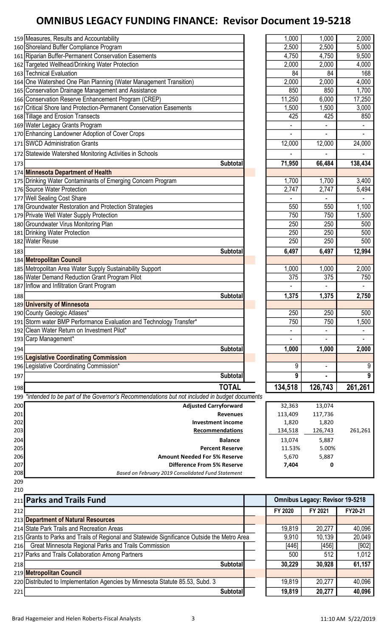| 212        |                                                                                                 | FY 2020        | FY 2021                                | FY20-21        |
|------------|-------------------------------------------------------------------------------------------------|----------------|----------------------------------------|----------------|
|            | 211 Parks and Trails Fund                                                                       |                | <b>Omnibus Legacy: Revisor 19-5218</b> |                |
| 210        |                                                                                                 |                |                                        |                |
| 209        |                                                                                                 |                |                                        |                |
| 208        | Based on February 2019 Consolidated Fund Statement                                              |                |                                        |                |
| 206<br>207 | <b>Amount Needed For 5% Reserve</b><br><b>Difference From 5% Reserve</b>                        | 5,670<br>7,404 | 5,887<br>0                             |                |
| 205        | <b>Percent Reserve</b>                                                                          | 11.53%         | 5.00%                                  |                |
| 204        | <b>Balance</b>                                                                                  | 13,074         | 5,887                                  |                |
| 203        | Recommendations                                                                                 | 134,518        | 126,743                                | 261,261        |
| 202        | <b>Investment income</b>                                                                        | 1,820          | 1,820                                  |                |
| 201        | <b>Revenues</b>                                                                                 | 113,409        | 117,736                                |                |
| 200        | <b>Adjusted Carryforward</b>                                                                    | 32,363         | 13,074                                 |                |
|            | 199 *intended to be part of the Governor's Recommendations but not included in budget documents |                |                                        |                |
| 198        | <b>TOTAL</b>                                                                                    | 134,518        | 126,743                                | 261,261        |
| 197        | <b>Subtotal</b>                                                                                 | 9              |                                        | 9              |
|            | 196 Legislative Coordinating Commission*                                                        | 9              | ÷                                      | 9              |
|            | 195 Legislative Coordinating Commission                                                         |                |                                        |                |
| 194        | <b>Subtotal</b>                                                                                 | 1,000          | 1,000                                  | 2,000          |
|            | 193 Carp Management*                                                                            |                |                                        |                |
|            | 192 Clean Water Return on Investment Pilot*                                                     |                |                                        |                |
|            | 191 Storm water BMP Performance Evaluation and Technology Transfer*                             | 750            | 750                                    | 1,500          |
|            | 190 County Geologic Atlases*                                                                    | 250            | 250                                    | 500            |
|            | 189 University of Minnesota                                                                     |                |                                        |                |
|            |                                                                                                 |                |                                        |                |
| 188        | <b>Subtotal</b>                                                                                 | 1,375          | 1,375                                  | 2,750          |
|            | 187 Inflow and Infiltration Grant Program                                                       |                |                                        | $\sim$         |
|            | 186 Water Demand Reduction Grant Program Pilot                                                  | 375            | 375                                    | 750            |
|            | 185 Metropolitan Area Water Supply Sustainability Support                                       | 1,000          | 1,000                                  | 2,000          |
|            | 184 Metropolitan Council                                                                        |                |                                        |                |
| 183        | <b>Subtotal</b>                                                                                 | 6,497          | 6,497                                  | 12,994         |
|            | 182 Water Reuse                                                                                 | 250            | 250                                    | 500            |
|            | 181 Drinking Water Protection                                                                   | 250            | 250                                    | 500            |
|            | 180 Groundwater Virus Monitoring Plan                                                           | 250            | 250                                    | 500            |
|            | 179 Private Well Water Supply Protection                                                        | 750            | 750                                    | 1,500          |
|            | 178 Groundwater Restoration and Protection Strategies                                           | 550            | 550                                    | 1,100          |
|            | 177 Well Sealing Cost Share                                                                     |                |                                        |                |
|            | 176 Source Water Protection                                                                     | 2,747          | 2,747                                  | 5,494          |
|            | 175 Drinking Water Contaminants of Emerging Concern Program                                     | 1,700          | 1,700                                  | 3,400          |
|            | 174 Minnesota Department of Health                                                              |                |                                        |                |
| 173        | <b>Subtotal</b>                                                                                 | 71,950         | 66,484                                 | 138,434        |
|            | 172 Statewide Watershed Monitoring Activities in Schools                                        |                |                                        |                |
|            | 171 SWCD Administration Grants                                                                  | 12,000         | 12,000                                 | 24,000         |
|            | 170 Enhancing Landowner Adoption of Cover Crops                                                 |                |                                        | $\blacksquare$ |
|            | 169 Water Legacy Grants Program                                                                 |                |                                        |                |
|            | 168 Tillage and Erosion Transects                                                               | 425            | 425                                    | 850            |
|            | 167 Critical Shore land Protection-Permanent Conservation Easements                             | 1,500          | 1,500                                  | 3,000          |
|            | 166 Conservation Reserve Enhancement Program (CREP)                                             | 11,250         | 6,000                                  | 17,250         |
|            | 165 Conservation Drainage Management and Assistance                                             | 850            | 850                                    | 1,700          |
|            | 164 One Watershed One Plan Planning (Water Management Transition)                               | 2,000          | 2,000                                  | 4,000          |
|            | 163 Technical Evaluation                                                                        | 84             | 84                                     | 168            |
|            | 162 Targeted Wellhead/Drinking Water Protection                                                 | 2,000          | 2,000                                  | 4,000          |
|            | 161 Riparian Buffer-Permanent Conservation Easements                                            | 4,750          | 4,750                                  | 9,500          |
|            | 160 Shoreland Buffer Compliance Program                                                         | 2,500          | 2,500                                  | 5,000          |
|            | 159 Measures, Results and Accountability                                                        | 1,000          | 1,000                                  | 2,000          |
|            |                                                                                                 |                |                                        |                |

| 1,000        | 1,000        | 2,000               |
|--------------|--------------|---------------------|
| 2,500        | 2,500        | 5,000               |
| 4,750        | 4,750        | 9,500               |
| 2,000        | 2,000        | 4,000               |
| 84           | 84           | 168                 |
| 2,000        | 2,000        | 4,000               |
| 850          | 850          | 1,700               |
| 11,250       | 6,000        | 17,250              |
|              |              |                     |
| 1,500<br>425 | 1,500<br>425 | 3,000               |
|              |              | 850                 |
|              |              |                     |
|              |              |                     |
| 12,000       | 12,000       | $\overline{24,}000$ |
|              |              |                     |
| 71,950       | 66,484       | 138,434             |
|              |              |                     |
| 1,700        | 1,700        | 3,400               |
| 2,747        | 2,747        | 5,494               |
|              |              |                     |
| 550          | 550          | $\frac{1}{1,100}$   |
| 750          | 750          | 1,500               |
| 250          | 250          | 500                 |
| 250          | 250          | 500                 |
| 250          | 250          | 500                 |
| 6,497        | 6,497        | 12,994              |
|              |              |                     |
| 1,000        | 1,000        | 2,000               |
| 375          | 375          | 750                 |
|              |              |                     |
| 1,375        | 1,375        | 2,750               |
|              |              |                     |
| 250          | 250          | 500                 |
|              |              |                     |
| 750          | 750          | 1,500               |
|              |              |                     |
|              |              |                     |
| 1,000        | 1,000        | 2,000               |
|              |              |                     |
| 9            |              | 9                   |
| 9            |              | 9                   |
| 134,518      | 126,743      | 261,261             |
|              |              |                     |
| 32,363       | 13,074       |                     |

| 32,363  | 13,074  |         |
|---------|---------|---------|
| 113,409 | 117,736 |         |
| 1,820   | 1,820   |         |
| 134,518 | 126,743 | 261,261 |
| 13,074  | 5.887   |         |
| 11.53%  | 5.00%   |         |
| 5,670   | 5,887   |         |
| 7.404   | 0       |         |
|         |         |         |

#### **FY 2020 PY 2021 PY 2021 PY 2021**  Department of Natural Resources 214 State Park Trails and Recreation Areas 19,819 19,819 20,277 40,096 215 Grants to Parks and Trails of Regional and Statewide Significance Outside the Metro Area 9,910 | 10,139 20,049 216 Great Minnesota Regional Parks and Trails Commission [456] [446] [456] [456] [456] [902] 217 Parks and Trails Collaboration Among Partners 600 512 1,012 218 | 30,229 | 30,928 | 61,157 219 Metropolitan Council 220 Distributed to Implementation Agencies by Minnesota Statute 85.53, Subd. 3 19,819 19,819 20,277 40,096 Subtotal 19,819 20,277 40,096 Omnibus Legacy: Revisor 19-5218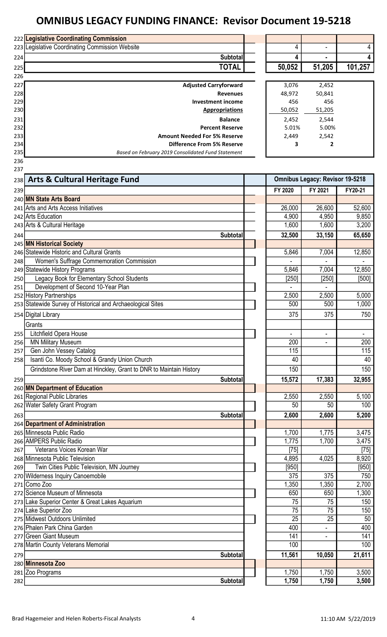|     | 222 Legislative Coordinating Commission                            |                          |                                        |                          |
|-----|--------------------------------------------------------------------|--------------------------|----------------------------------------|--------------------------|
|     | 223 Legislative Coordinating Commission Website                    | 4                        |                                        | 4                        |
| 224 | <b>Subtotal</b>                                                    | 4                        |                                        | 4                        |
| 225 | <b>TOTAL</b>                                                       | 50,052                   | 51,205                                 | 101,257                  |
| 226 |                                                                    |                          |                                        |                          |
| 227 | <b>Adjusted Carryforward</b>                                       | 3,076                    | 2,452                                  |                          |
| 228 | <b>Revenues</b>                                                    | 48,972                   | 50,841                                 |                          |
| 229 | <b>Investment income</b>                                           | 456                      | 456                                    |                          |
| 230 | <b>Appropriations</b>                                              | 50,052                   | 51,205                                 |                          |
| 231 | <b>Balance</b>                                                     | 2,452                    | 2,544                                  |                          |
| 232 | <b>Percent Reserve</b>                                             | 5.01%                    | 5.00%                                  |                          |
| 233 | <b>Amount Needed For 5% Reserve</b>                                | 2,449                    | 2,542                                  |                          |
| 234 | <b>Difference From 5% Reserve</b>                                  | 3                        | $\mathbf{2}$                           |                          |
| 235 | Based on February 2019 Consolidated Fund Statement                 |                          |                                        |                          |
| 236 |                                                                    |                          |                                        |                          |
| 237 |                                                                    |                          |                                        |                          |
| 238 | <b>Arts &amp; Cultural Heritage Fund</b>                           |                          | <b>Omnibus Legacy: Revisor 19-5218</b> |                          |
| 239 |                                                                    | FY 2020                  | FY 2021                                | FY20-21                  |
|     | 240 MN State Arts Board                                            |                          |                                        |                          |
|     | 241 Arts and Arts Access Initiatives                               | 26,000                   | 26,600                                 | 52,600                   |
|     | 242 Arts Education                                                 | 4,900                    | 4,950                                  | 9,850                    |
|     | 243 Arts & Cultural Heritage                                       | 1,600                    | 1,600                                  | 3,200                    |
| 244 | <b>Subtotal</b>                                                    | 32,500                   | 33,150                                 | 65,650                   |
|     | 245 MN Historical Society                                          |                          |                                        |                          |
|     | 246 Statewide Historic and Cultural Grants                         | 5,846                    | 7,004                                  | 12,850                   |
| 248 | <b>Women's Suffrage Commemoration Commission</b>                   |                          |                                        |                          |
|     | 249 Statewide History Programs                                     | 5,846                    | 7,004                                  | 12,850                   |
| 250 | Legacy Book for Elementary School Students                         | $[250]$                  | $[250]$                                | [500]                    |
| 251 | Development of Second 10-Year Plan                                 |                          |                                        |                          |
|     | 252 History Partnerships                                           | 2,500                    | 2,500                                  | 5,000                    |
|     | 253 Statewide Survey of Historical and Archaeological Sites        | 500                      | 500                                    | 1,000                    |
|     | 254 Digital Library                                                | 375                      | 375                                    | 750                      |
|     |                                                                    |                          |                                        |                          |
|     | Grants                                                             |                          |                                        |                          |
| 255 | Litchfield Opera House                                             | $\overline{\phantom{a}}$ | $\overline{\phantom{a}}$               | $\overline{\phantom{a}}$ |
| 256 | <b>MN Military Museum</b>                                          | 200                      |                                        | 200                      |
| 257 | Gen John Vessey Catalog                                            | 115                      |                                        | 115                      |
| 258 | Isanti Co. Moody School & Grandy Union Church                      | 40                       |                                        | 40                       |
|     | Grindstone River Dam at Hinckley, Grant to DNR to Maintain History | 150                      |                                        | 150                      |
| 259 | <b>Subtotal</b>                                                    | 15,572                   | 17,383                                 | 32,955                   |
|     | 260 MN Department of Education                                     |                          |                                        |                          |
|     | 261 Regional Public Libraries                                      | 2,550                    | 2,550                                  | 5,100                    |
|     | 262 Water Safety Grant Program                                     | 50                       | 50                                     | 100                      |
| 263 | <b>Subtotal</b>                                                    | 2,600                    | 2,600                                  | 5,200                    |
|     | 264 Department of Administration                                   |                          |                                        |                          |
|     | 265 Minnesota Public Radio                                         | 1,700                    | 1,775                                  | 3,475                    |
|     | 266 AMPERS Public Radio                                            | 1,775                    | 1,700                                  | 3,475                    |
| 267 | Veterans Voices Korean War                                         | $[75]$                   |                                        | $[75]$                   |
|     | 268 Minnesota Public Television                                    | 4,895                    | 4,025                                  | 8,920                    |
| 269 | Twin Cities Public Television, MN Journey                          | $[950]$                  |                                        | $[950]$                  |
|     | 270 Wilderness Inquiry Canoemobile                                 | 375                      | 375                                    | 750                      |
|     | 271 Como Zoo                                                       | 1,350                    | 1,350                                  | 2,700                    |
|     | 272 Science Museum of Minnesota                                    | 650                      | 650                                    | 1,300                    |
|     | 273 Lake Superior Center & Great Lakes Aquarium                    | 75                       | 75                                     | 150                      |
|     | 274 Lake Superior Zoo                                              | 75                       | 75                                     | 150                      |
|     | 275 Midwest Outdoors Unlimited                                     | 25                       | 25                                     | 50                       |
|     | 276 Phalen Park China Garden                                       | 400                      |                                        | 400                      |
|     | 277 Green Giant Museum                                             | 141                      |                                        | 141                      |
|     | 278 Martin County Veterans Memorial                                | 100                      |                                        | 100                      |
| 279 | <b>Subtotal</b>                                                    | 11,561                   | 10,050                                 | 21,611                   |
|     | 280 Minnesota Zoo                                                  |                          |                                        |                          |
|     | 281 Zoo Programs                                                   | 1,750                    | 1,750                                  | 3,500                    |
| 282 | <b>Subtotal</b>                                                    | 1,750                    | 1,750                                  | 3,500                    |